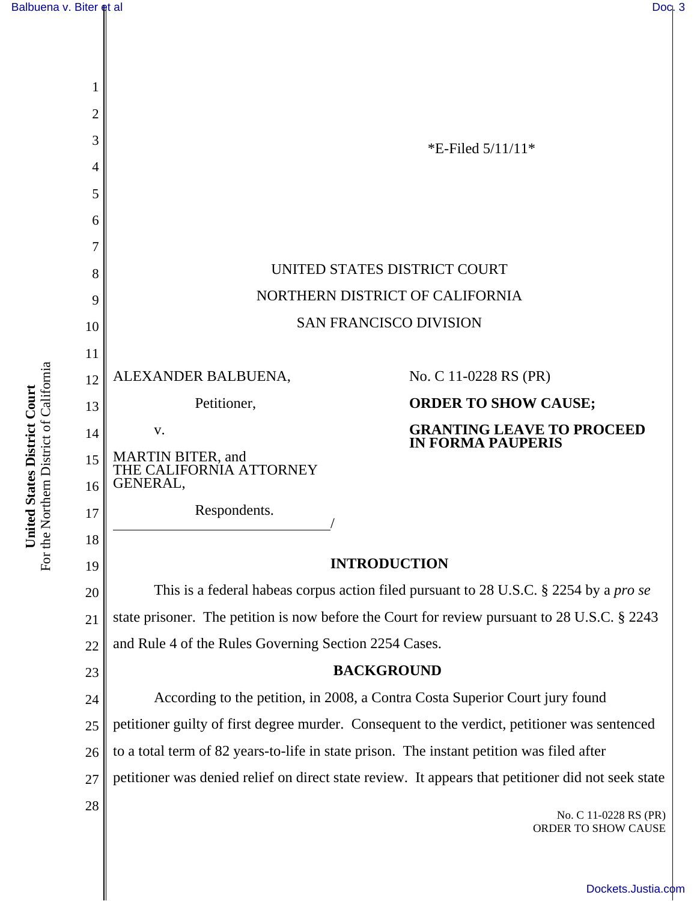

For the Northern District of California For the Northern District of California United States District Court **United States District Court**

[Dockets.Justia.com](http://dockets.justia.com/)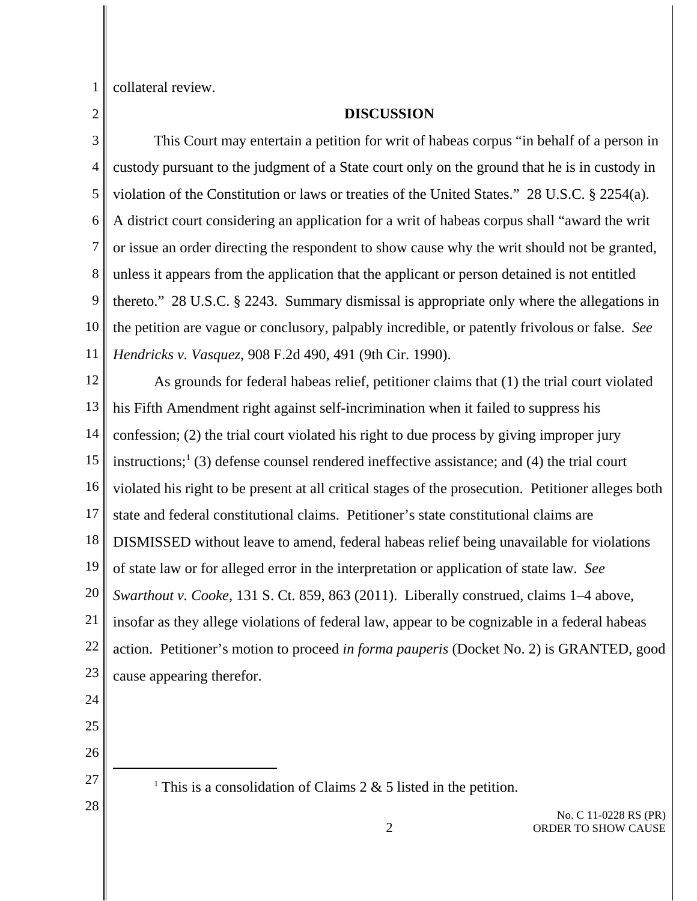1 collateral review.

2

## **DISCUSSION**

3 4 5 6 7 8 9 10 11 This Court may entertain a petition for writ of habeas corpus "in behalf of a person in custody pursuant to the judgment of a State court only on the ground that he is in custody in violation of the Constitution or laws or treaties of the United States." 28 U.S.C. § 2254(a). A district court considering an application for a writ of habeas corpus shall "award the writ or issue an order directing the respondent to show cause why the writ should not be granted, unless it appears from the application that the applicant or person detained is not entitled thereto." 28 U.S.C. § 2243. Summary dismissal is appropriate only where the allegations in the petition are vague or conclusory, palpably incredible, or patently frivolous or false. *See Hendricks v. Vasquez*, 908 F.2d 490, 491 (9th Cir. 1990).

12 13 14 15 16 17 18 19 20 21 22 23 As grounds for federal habeas relief, petitioner claims that (1) the trial court violated his Fifth Amendment right against self-incrimination when it failed to suppress his confession; (2) the trial court violated his right to due process by giving improper jury instructions;<sup>1</sup> (3) defense counsel rendered ineffective assistance; and (4) the trial court violated his right to be present at all critical stages of the prosecution. Petitioner alleges both state and federal constitutional claims. Petitioner's state constitutional claims are DISMISSED without leave to amend, federal habeas relief being unavailable for violations of state law or for alleged error in the interpretation or application of state law. *See Swarthout v. Cooke*, 131 S. Ct. 859, 863 (2011). Liberally construed, claims 1–4 above, insofar as they allege violations of federal law, appear to be cognizable in a federal habeas action. Petitioner's motion to proceed *in forma pauperis* (Docket No. 2) is GRANTED, good cause appearing therefor.

24

25

26 27

28

<sup>1</sup> This is a consolidation of Claims 2  $\&$  5 listed in the petition.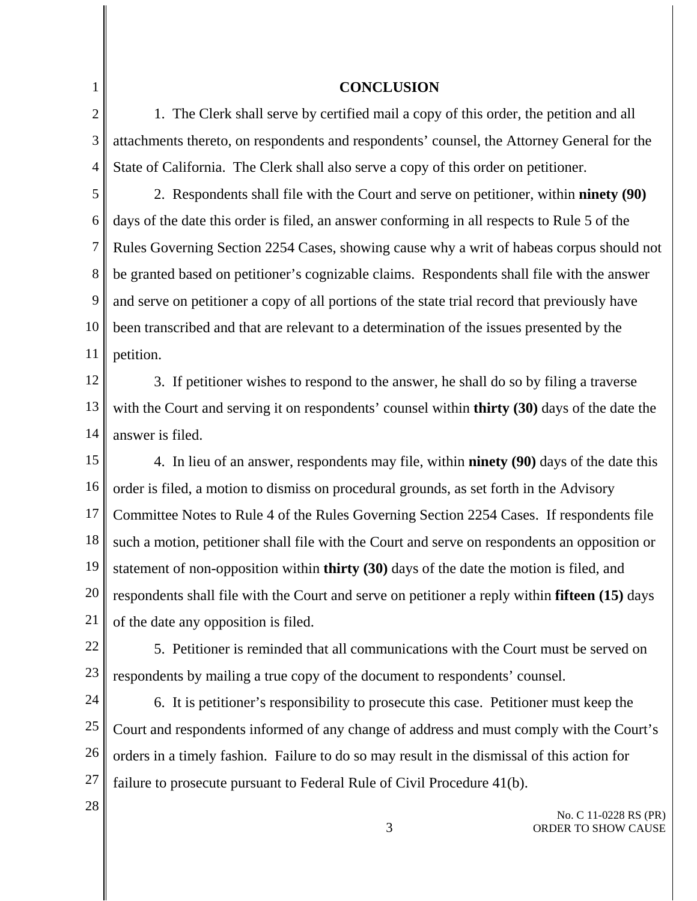1

## **CONCLUSION**

2 3 4 1. The Clerk shall serve by certified mail a copy of this order, the petition and all attachments thereto, on respondents and respondents' counsel, the Attorney General for the State of California. The Clerk shall also serve a copy of this order on petitioner.

5 6 7 8 9 10 11 2. Respondents shall file with the Court and serve on petitioner, within **ninety (90)** days of the date this order is filed, an answer conforming in all respects to Rule 5 of the Rules Governing Section 2254 Cases, showing cause why a writ of habeas corpus should not be granted based on petitioner's cognizable claims. Respondents shall file with the answer and serve on petitioner a copy of all portions of the state trial record that previously have been transcribed and that are relevant to a determination of the issues presented by the petition.

12 13 14 3. If petitioner wishes to respond to the answer, he shall do so by filing a traverse with the Court and serving it on respondents' counsel within **thirty (30)** days of the date the answer is filed.

15 16 17 18 19 20 21 4. In lieu of an answer, respondents may file, within **ninety (90)** days of the date this order is filed, a motion to dismiss on procedural grounds, as set forth in the Advisory Committee Notes to Rule 4 of the Rules Governing Section 2254 Cases. If respondents file such a motion, petitioner shall file with the Court and serve on respondents an opposition or statement of non-opposition within **thirty (30)** days of the date the motion is filed, and respondents shall file with the Court and serve on petitioner a reply within **fifteen (15)** days of the date any opposition is filed.

22 23 5. Petitioner is reminded that all communications with the Court must be served on respondents by mailing a true copy of the document to respondents' counsel.

24 25 26 27 6. It is petitioner's responsibility to prosecute this case. Petitioner must keep the Court and respondents informed of any change of address and must comply with the Court's orders in a timely fashion. Failure to do so may result in the dismissal of this action for failure to prosecute pursuant to Federal Rule of Civil Procedure 41(b).

28